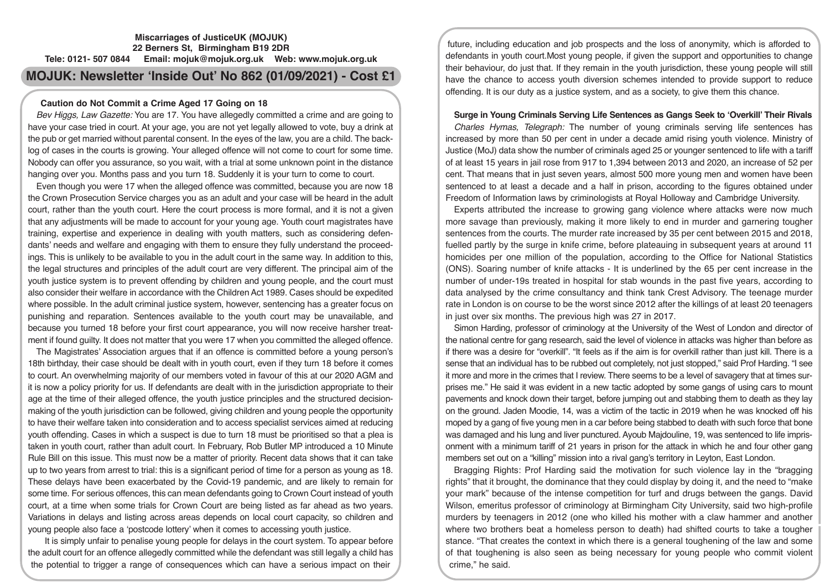# **Miscarriages of JusticeUK (MOJUK) 22 Berners St, Birmingham B19 2DR Tele: 0121- 507 0844 Email: mojuk@mojuk.org.uk Web: www.mojuk.org.uk**

# **MOJUK: Newsletter 'Inside Out' No 862 (01/09/2021) - Cost £1**

# **Caution do Not Commit a Crime Aged 17 Going on 18**

*Bev Higgs, Law Gazette:* You are 17. You have allegedly committed a crime and are going to have your case tried in court. At your age, you are not yet legally allowed to vote, buy a drink at the pub or get married without parental consent. In the eyes of the law, you are a child. The backlog of cases in the courts is growing. Your alleged offence will not come to court for some time. Nobody can offer you assurance, so you wait, with a trial at some unknown point in the distance hanging over you. Months pass and you turn 18. Suddenly it is your turn to come to court.

Even though you were 17 when the alleged offence was committed, because you are now 18 the Crown Prosecution Service charges you as an adult and your case will be heard in the adult court, rather than the youth court. Here the court process is more formal, and it is not a given that any adjustments will be made to account for your young age. Youth court magistrates have training, expertise and experience in dealing with youth matters, such as considering defendants' needs and welfare and engaging with them to ensure they fully understand the proceedings. This is unlikely to be available to you in the adult court in the same way. In addition to this, the legal structures and principles of the adult court are very different. The principal aim of the youth justice system is to prevent offending by children and young people, and the court must also consider their welfare in accordance with the Children Act 1989. Cases should be expedited where possible. In the adult criminal justice system, however, sentencing has a greater focus on punishing and reparation. Sentences available to the youth court may be unavailable, and because you turned 18 before your first court appearance, you will now receive harsher treatment if found guilty. It does not matter that you were 17 when you committed the alleged offence.

The Magistrates' Association argues that if an offence is committed before a young person's 18th birthday, their case should be dealt with in youth court, even if they turn 18 before it comes to court. An overwhelming majority of our members voted in favour of this at our 2020 AGM and it is now a policy priority for us. If defendants are dealt with in the jurisdiction appropriate to their age at the time of their alleged offence, the youth justice principles and the structured decisionmaking of the youth jurisdiction can be followed, giving children and young people the opportunity to have their welfare taken into consideration and to access specialist services aimed at reducing youth offending. Cases in which a suspect is due to turn 18 must be prioritised so that a plea is taken in youth court, rather than adult court. In February, Rob Butler MP introduced a 10 Minute Rule Bill on this issue. This must now be a matter of priority. Recent data shows that it can take up to two years from arrest to trial: this is a significant period of time for a person as young as 18. These delays have been exacerbated by the Covid-19 pandemic, and are likely to remain for some time. For serious offences, this can mean defendants going to Crown Court instead of youth court, at a time when some trials for Crown Court are being listed as far ahead as two years. Variations in delays and listing across areas depends on local court capacity, so children and young people also face a 'postcode lottery' when it comes to accessing youth justice.

It is simply unfair to penalise young people for delays in the court system. To appear before the adult court for an offence allegedly committed while the defendant was still legally a child has the potential to trigger a range of consequences which can have a serious impact on their

future, including education and job prospects and the loss of anonymity, which is afforded to defendants in youth court.Most young people, if given the support and opportunities to change their behaviour, do just that. If they remain in the youth jurisdiction, these young people will still have the chance to access youth diversion schemes intended to provide support to reduce offending. It is our duty as a justice system, and as a society, to give them this chance.

# **Surge in Young Criminals Serving Life Sentences as Gangs Seek to 'Overkill' Their Rivals**

*Charles Hymas, Telegraph:* The number of young criminals serving life sentences has increased by more than 50 per cent in under a decade amid rising youth violence. Ministry of Justice (MoJ) data show the number of criminals aged 25 or younger sentenced to life with a tariff of at least 15 years in jail rose from 917 to 1,394 between 2013 and 2020, an increase of 52 per cent. That means that in just seven years, almost 500 more young men and women have been sentenced to at least a decade and a half in prison, according to the figures obtained under Freedom of Information laws by criminologists at Royal Holloway and Cambridge University.

Experts attributed the increase to growing gang violence where attacks were now much more savage than previously, making it more likely to end in murder and garnering tougher sentences from the courts. The murder rate increased by 35 per cent between 2015 and 2018, fuelled partly by the surge in knife crime, before plateauing in subsequent years at around 11 homicides per one million of the population, according to the Office for National Statistics (ONS). Soaring number of knife attacks - It is underlined by the 65 per cent increase in the number of under-19s treated in hospital for stab wounds in the past five years, according to data analysed by the crime consultancy and think tank Crest Advisory. The teenage murder rate in London is on course to be the worst since 2012 after the killings of at least 20 teenagers in just over six months. The previous high was 27 in 2017.

Simon Harding, professor of criminology at the University of the West of London and director of the national centre for gang research, said the level of violence in attacks was higher than before as if there was a desire for "overkill". "It feels as if the aim is for overkill rather than just kill. There is a sense that an individual has to be rubbed out completely, not just stopped," said Prof Harding. "I see it more and more in the crimes that I review. There seems to be a level of savagery that at times surprises me." He said it was evident in a new tactic adopted by some gangs of using cars to mount pavements and knock down their target, before jumping out and stabbing them to death as they lay on the ground. Jaden Moodie, 14, was a victim of the tactic in 2019 when he was knocked off his moped by a gang of five young men in a car before being stabbed to death with such force that bone was damaged and his lung and liver punctured. Ayoub Majdouline, 19, was sentenced to life imprisonment with a minimum tariff of 21 years in prison for the attack in which he and four other gang members set out on a "killing" mission into a rival gang's territory in Leyton, East London.

Bragging Rights: Prof Harding said the motivation for such violence lay in the "bragging rights" that it brought, the dominance that they could display by doing it, and the need to "make your mark" because of the intense competition for turf and drugs between the gangs. David Wilson, emeritus professor of criminology at Birmingham City University, said two high-profile murders by teenagers in 2012 (one who killed his mother with a claw hammer and another where two brothers beat a homeless person to death) had shifted courts to take a tougher stance. "That creates the context in which there is a general toughening of the law and some of that toughening is also seen as being necessary for young people who commit violent crime," he said.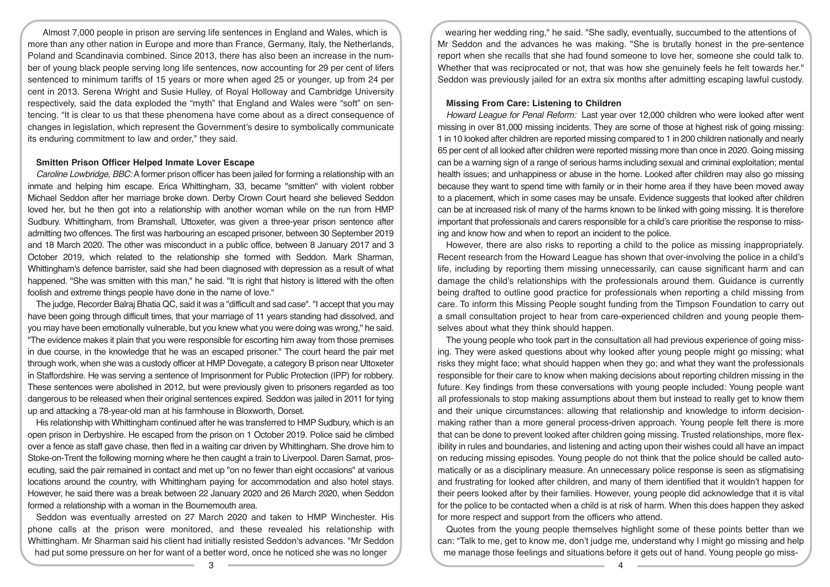Almost 7,000 people in prison are serving life sentences in England and Wales, which is more than any other nation in Europe and more than France, Germany, Italy, the Netherlands, Poland and Scandinavia combined. Since 2013, there has also been an increase in the number of young black people serving long life sentences, now accounting for 29 per cent of lifers sentenced to minimum tariffs of 15 years or more when aged 25 or younger, up from 24 per cent in 2013. Serena Wright and Susie Hulley, of Royal Holloway and Cambridge University respectively, said the data exploded the "myth" that England and Wales were "soft" on sentencing. "It is clear to us that these phenomena have come about as a direct consequence of changes in legislation, which represent the Government's desire to symbolically communicate its enduring commitment to law and order," they said.

#### **Smitten Prison Officer Helped Inmate Lover Escape**

*Caroline Lowbridge, BBC:* A former prison officer has been jailed for forming a relationship with an inmate and helping him escape. Erica Whittingham, 33, became "smitten" with violent robber Michael Seddon after her marriage broke down. Derby Crown Court heard she believed Seddon loved her, but he then got into a relationship with another woman while on the run from HMP Sudbury. Whittingham, from Bramshall, Uttoxeter, was given a three-year prison sentence after admitting two offences. The first was harbouring an escaped prisoner, between 30 September 2019 and 18 March 2020. The other was misconduct in a public office, between 8 January 2017 and 3 October 2019, which related to the relationship she formed with Seddon. Mark Sharman, Whittingham's defence barrister, said she had been diagnosed with depression as a result of what happened. "She was smitten with this man," he said. "It is right that history is littered with the often foolish and extreme things people have done in the name of love."

The judge, Recorder Balraj Bhatia QC, said it was a "difficult and sad case". "I accept that you may have been going through difficult times, that your marriage of 11 years standing had dissolved, and you may have been emotionally vulnerable, but you knew what you were doing was wrong," he said. "The evidence makes it plain that you were responsible for escorting him away from those premises in due course, in the knowledge that he was an escaped prisoner." The court heard the pair met through work, when she was a custody officer at HMP Dovegate, a category B prison near Uttoxeter in Staffordshire. He was serving a sentence of Imprisonment for Public Protection (IPP) for robbery. These sentences were abolished in 2012, but were previously given to prisoners regarded as too dangerous to be released when their original sentences expired. Seddon was jailed in 2011 for tying up and attacking a 78-year-old man at his farmhouse in Bloxworth, Dorset.

His relationship with Whittingham continued after he was transferred to HMP Sudbury, which is an open prison in Derbyshire. He escaped from the prison on 1 October 2019. Police said he climbed over a fence as staff gave chase, then fled in a waiting car driven by Whittingham. She drove him to Stoke-on-Trent the following morning where he then caught a train to Liverpool. Daren Samat, prosecuting, said the pair remained in contact and met up "on no fewer than eight occasions" at various locations around the country, with Whittingham paying for accommodation and also hotel stays. However, he said there was a break between 22 January 2020 and 26 March 2020, when Seddon formed a relationship with a woman in the Bournemouth area.

Seddon was eventually arrested on 27 March 2020 and taken to HMP Winchester. His phone calls at the prison were monitored, and these revealed his relationship with Whittingham. Mr Sharman said his client had initially resisted Seddon's advances. "Mr Seddon had put some pressure on her for want of a better word, once he noticed she was no longer

wearing her wedding ring," he said. "She sadly, eventually, succumbed to the attentions of Mr Seddon and the advances he was making. "She is brutally honest in the pre-sentence report when she recalls that she had found someone to love her, someone she could talk to. Whether that was reciprocated or not, that was how she genuinely feels he felt towards her." Seddon was previously jailed for an extra six months after admitting escaping lawful custody.

## **Missing From Care: Listening to Children**

*Howard League for Penal Reform:* Last year over 12,000 children who were looked after went missing in over 81,000 missing incidents. They are some of those at highest risk of going missing: 1 in 10 looked after children are reported missing compared to 1 in 200 children nationally and nearly 65 per cent of all looked after children were reported missing more than once in 2020. Going missing can be a warning sign of a range of serious harms including sexual and criminal exploitation; mental health issues; and unhappiness or abuse in the home. Looked after children may also go missing because they want to spend time with family or in their home area if they have been moved away to a placement, which in some cases may be unsafe. Evidence suggests that looked after children can be at increased risk of many of the harms known to be linked with going missing. It is therefore important that professionals and carers responsible for a child's care prioritise the response to missing and know how and when to report an incident to the police.

However, there are also risks to reporting a child to the police as missing inappropriately. Recent research from the Howard League has shown that over-involving the police in a child's life, including by reporting them missing unnecessarily, can cause significant harm and can damage the child's relationships with the professionals around them. Guidance is currently being drafted to outline good practice for professionals when reporting a child missing from care. To inform this Missing People sought funding from the Timpson Foundation to carry out a small consultation project to hear from care-experienced children and young people themselves about what they think should happen.

The young people who took part in the consultation all had previous experience of going missing. They were asked questions about why looked after young people might go missing; what risks they might face; what should happen when they go; and what they want the professionals responsible for their care to know when making decisions about reporting children missing in the future. Key findings from these conversations with young people included: Young people want all professionals to stop making assumptions about them but instead to really get to know them and their unique circumstances: allowing that relationship and knowledge to inform decisionmaking rather than a more general process-driven approach. Young people felt there is more that can be done to prevent looked after children going missing. Trusted relationships, more flexibility in rules and boundaries, and listening and acting upon their wishes could all have an impact on reducing missing episodes. Young people do not think that the police should be called automatically or as a disciplinary measure. An unnecessary police response is seen as stigmatising and frustrating for looked after children, and many of them identified that it wouldn't happen for their peers looked after by their families. However, young people did acknowledge that it is vital for the police to be contacted when a child is at risk of harm. When this does happen they asked for more respect and support from the officers who attend.

Quotes from the young people themselves highlight some of these points better than we can: "Talk to me, get to know me, don't judge me, understand why I might go missing and help me manage those feelings and situations before it gets out of hand. Young people go miss-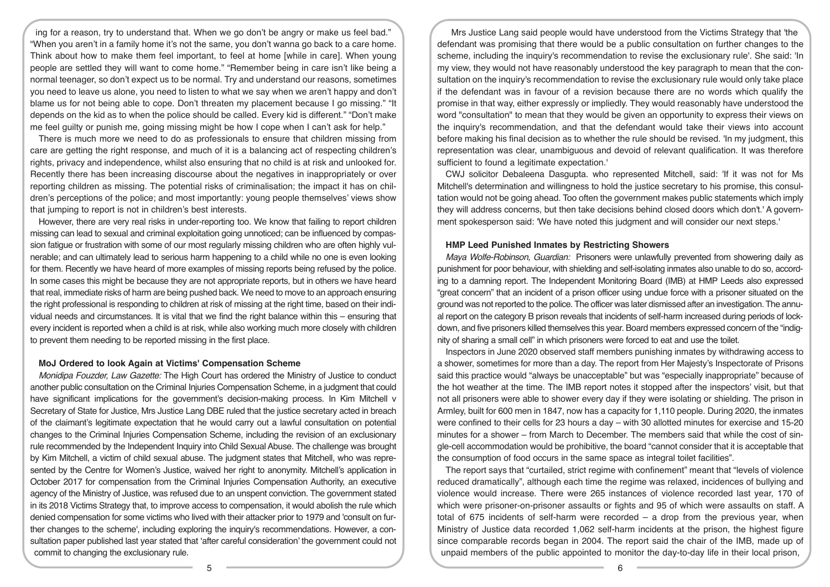ing for a reason, try to understand that. When we go don't be angry or make us feel bad." "When you aren't in a family home it's not the same, you don't wanna go back to a care home. Think about how to make them feel important, to feel at home [while in care]. When young people are settled they will want to come home." "Remember being in care isn't like being a normal teenager, so don't expect us to be normal. Try and understand our reasons, sometimes you need to leave us alone, you need to listen to what we say when we aren't happy and don't blame us for not being able to cope. Don't threaten my placement because I go missing." "It depends on the kid as to when the police should be called. Every kid is different." "Don't make me feel guilty or punish me, going missing might be how I cope when I can't ask for help."

There is much more we need to do as professionals to ensure that children missing from care are getting the right response, and much of it is a balancing act of respecting children's rights, privacy and independence, whilst also ensuring that no child is at risk and unlooked for. Recently there has been increasing discourse about the negatives in inappropriately or over reporting children as missing. The potential risks of criminalisation; the impact it has on children's perceptions of the police; and most importantly: young people themselves' views show that jumping to report is not in children's best interests.

However, there are very real risks in under-reporting too. We know that failing to report children missing can lead to sexual and criminal exploitation going unnoticed; can be influenced by compassion fatigue or frustration with some of our most regularly missing children who are often highly vulnerable; and can ultimately lead to serious harm happening to a child while no one is even looking for them. Recently we have heard of more examples of missing reports being refused by the police. In some cases this might be because they are not appropriate reports, but in others we have heard that real, immediate risks of harm are being pushed back. We need to move to an approach ensuring the right professional is responding to children at risk of missing at the right time, based on their individual needs and circumstances. It is vital that we find the right balance within this – ensuring that every incident is reported when a child is at risk, while also working much more closely with children to prevent them needing to be reported missing in the first place.

### **MoJ Ordered to look Again at Victims' Compensation Scheme**

*Monidipa Fouzder, Law Gazette:* The High Court has ordered the Ministry of Justice to conduct another public consultation on the Criminal Injuries Compensation Scheme, in a judgment that could have significant implications for the government's decision-making process. In Kim Mitchell v Secretary of State for Justice, Mrs Justice Lang DBE ruled that the justice secretary acted in breach of the claimant's legitimate expectation that he would carry out a lawful consultation on potential changes to the Criminal Injuries Compensation Scheme, including the revision of an exclusionary rule recommended by the Independent Inquiry into Child Sexual Abuse. The challenge was brought by Kim Mitchell, a victim of child sexual abuse. The judgment states that Mitchell, who was represented by the Centre for Women's Justice, waived her right to anonymity. Mitchell's application in October 2017 for compensation from the Criminal Injuries Compensation Authority, an executive agency of the Ministry of Justice, was refused due to an unspent conviction. The government stated in its 2018 Victims Strategy that, to improve access to compensation, it would abolish the rule which denied compensation for some victims who lived with their attacker prior to 1979 and 'consult on further changes to the scheme', including exploring the inquiry's recommendations. However, a consultation paper published last year stated that 'after careful consideration' the government could not commit to changing the exclusionary rule.

Mrs Justice Lang said people would have understood from the Victims Strategy that 'the defendant was promising that there would be a public consultation on further changes to the scheme, including the inquiry's recommendation to revise the exclusionary rule'. She said: 'In my view, they would not have reasonably understood the key paragraph to mean that the consultation on the inquiry's recommendation to revise the exclusionary rule would only take place if the defendant was in favour of a revision because there are no words which qualify the promise in that way, either expressly or impliedly. They would reasonably have understood the word "consultation" to mean that they would be given an opportunity to express their views on the inquiry's recommendation, and that the defendant would take their views into account before making his final decision as to whether the rule should be revised. 'In my judgment, this representation was clear, unambiguous and devoid of relevant qualification. It was therefore sufficient to found a legitimate expectation.'

CWJ solicitor Debaleena Dasgupta. who represented Mitchell, said: 'If it was not for Ms Mitchell's determination and willingness to hold the justice secretary to his promise, this consultation would not be going ahead. Too often the government makes public statements which imply they will address concerns, but then take decisions behind closed doors which don't.' A government spokesperson said: 'We have noted this judgment and will consider our next steps.'

### **HMP Leed Punished Inmates by Restricting Showers**

*Maya Wolfe-Robinson, Guardian:* Prisoners were unlawfully prevented from showering daily as punishment for poor behaviour, with shielding and self-isolating inmates also unable to do so, according to a damning report. The Independent Monitoring Board (IMB) at HMP Leeds also expressed "great concern" that an incident of a prison officer using undue force with a prisoner situated on the ground was not reported to the police. The officer was later dismissed after an investigation. The annual report on the category B prison reveals that incidents of self-harm increased during periods of lockdown, and five prisoners killed themselves this year. Board members expressed concern of the "indignity of sharing a small cell" in which prisoners were forced to eat and use the toilet.

Inspectors in June 2020 observed staff members punishing inmates by withdrawing access to a shower, sometimes for more than a day. The report from Her Majesty's Inspectorate of Prisons said this practice would "always be unacceptable" but was "especially inappropriate" because of the hot weather at the time. The IMB report notes it stopped after the inspectors' visit, but that not all prisoners were able to shower every day if they were isolating or shielding. The prison in Armley, built for 600 men in 1847, now has a capacity for 1,110 people. During 2020, the inmates were confined to their cells for 23 hours a day – with 30 allotted minutes for exercise and 15-20 minutes for a shower – from March to December. The members said that while the cost of single-cell accommodation would be prohibitive, the board "cannot consider that it is acceptable that the consumption of food occurs in the same space as integral toilet facilities".

The report says that "curtailed, strict regime with confinement" meant that "levels of violence reduced dramatically", although each time the regime was relaxed, incidences of bullying and violence would increase. There were 265 instances of violence recorded last year, 170 of which were prisoner-on-prisoner assaults or fights and 95 of which were assaults on staff. A total of 675 incidents of self-harm were recorded – a drop from the previous year, when Ministry of Justice data recorded 1,062 self-harm incidents at the prison, the highest figure since comparable records began in 2004. The report said the chair of the IMB, made up of unpaid members of the public appointed to monitor the day-to-day life in their local prison,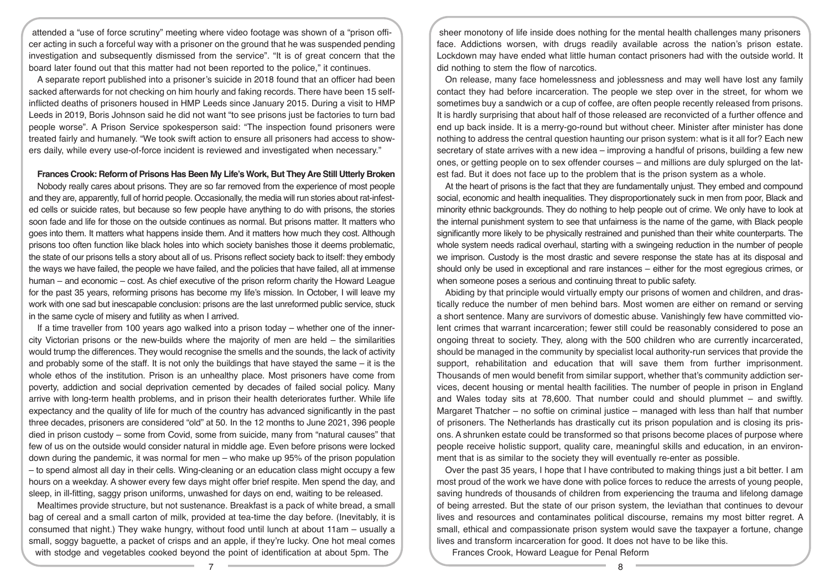attended a "use of force scrutiny" meeting where video footage was shown of a "prison officer acting in such a forceful way with a prisoner on the ground that he was suspended pending investigation and subsequently dismissed from the service". "It is of great concern that the board later found out that this matter had not been reported to the police," it continues.

A separate report published into a prisoner's suicide in 2018 found that an officer had been sacked afterwards for not checking on him hourly and faking records. There have been 15 selfinflicted deaths of prisoners housed in HMP Leeds since January 2015. During a visit to HMP Leeds in 2019, Boris Johnson said he did not want "to see prisons just be factories to turn bad people worse". A Prison Service spokesperson said: "The inspection found prisoners were treated fairly and humanely. "We took swift action to ensure all prisoners had access to showers daily, while every use-of-force incident is reviewed and investigated when necessary."

## **Frances Crook: Reform of Prisons Has Been My Life's Work, But They Are Still Utterly Broken**

Nobody really cares about prisons. They are so far removed from the experience of most people and they are, apparently, full of horrid people. Occasionally, the media will run stories about rat-infested cells or suicide rates, but because so few people have anything to do with prisons, the stories soon fade and life for those on the outside continues as normal. But prisons matter. It matters who goes into them. It matters what happens inside them. And it matters how much they cost. Although prisons too often function like black holes into which society banishes those it deems problematic, the state of our prisons tells a story about all of us. Prisons reflect society back to itself: they embody the ways we have failed, the people we have failed, and the policies that have failed, all at immense human – and economic – cost. As chief executive of the prison reform charity the Howard League for the past 35 years, reforming prisons has become my life's mission. In October, I will leave my work with one sad but inescapable conclusion: prisons are the last unreformed public service, stuck in the same cycle of misery and futility as when I arrived.

If a time traveller from 100 years ago walked into a prison today – whether one of the innercity Victorian prisons or the new-builds where the majority of men are held – the similarities would trump the differences. They would recognise the smells and the sounds, the lack of activity and probably some of the staff. It is not only the buildings that have stayed the same  $-$  it is the whole ethos of the institution. Prison is an unhealthy place. Most prisoners have come from poverty, addiction and social deprivation cemented by decades of failed social policy. Many arrive with long-term health problems, and in prison their health deteriorates further. While life expectancy and the quality of life for much of the country has advanced significantly in the past three decades, prisoners are considered "old" at 50. In the 12 months to June 2021, 396 people died in prison custody – some from Covid, some from suicide, many from "natural causes" that few of us on the outside would consider natural in middle age. Even before prisons were locked down during the pandemic, it was normal for men – who make up 95% of the prison population – to spend almost all day in their cells. Wing-cleaning or an education class might occupy a few hours on a weekday. A shower every few days might offer brief respite. Men spend the day, and sleep, in ill-fitting, saggy prison uniforms, unwashed for days on end, waiting to be released.

Mealtimes provide structure, but not sustenance. Breakfast is a pack of white bread, a small bag of cereal and a small carton of milk, provided at tea-time the day before. (Inevitably, it is consumed that night.) They wake hungry, without food until lunch at about 11am – usually a small, soggy baguette, a packet of crisps and an apple, if they're lucky. One hot meal comes with stodge and vegetables cooked beyond the point of identification at about 5pm. The

sheer monotony of life inside does nothing for the mental health challenges many prisoners face. Addictions worsen, with drugs readily available across the nation's prison estate. Lockdown may have ended what little human contact prisoners had with the outside world. It did nothing to stem the flow of narcotics.

On release, many face homelessness and joblessness and may well have lost any family contact they had before incarceration. The people we step over in the street, for whom we sometimes buy a sandwich or a cup of coffee, are often people recently released from prisons. It is hardly surprising that about half of those released are reconvicted of a further offence and end up back inside. It is a merry-go-round but without cheer. Minister after minister has done nothing to address the central question haunting our prison system: what is it all for? Each new secretary of state arrives with a new idea – improving a handful of prisons, building a few new ones, or getting people on to sex offender courses – and millions are duly splurged on the latest fad. But it does not face up to the problem that is the prison system as a whole.

At the heart of prisons is the fact that they are fundamentally unjust. They embed and compound social, economic and health inequalities. They disproportionately suck in men from poor, Black and minority ethnic backgrounds. They do nothing to help people out of crime. We only have to look at the internal punishment system to see that unfairness is the name of the game, with Black people significantly more likely to be physically restrained and punished than their white counterparts. The whole system needs radical overhaul, starting with a swingeing reduction in the number of people we imprison. Custody is the most drastic and severe response the state has at its disposal and should only be used in exceptional and rare instances – either for the most egregious crimes, or when someone poses a serious and continuing threat to public safety.

Abiding by that principle would virtually empty our prisons of women and children, and drastically reduce the number of men behind bars. Most women are either on remand or serving a short sentence. Many are survivors of domestic abuse. Vanishingly few have committed violent crimes that warrant incarceration; fewer still could be reasonably considered to pose an ongoing threat to society. They, along with the 500 children who are currently incarcerated, should be managed in the community by specialist local authority-run services that provide the support, rehabilitation and education that will save them from further imprisonment. Thousands of men would benefit from similar support, whether that's community addiction services, decent housing or mental health facilities. The number of people in prison in England and Wales today sits at 78,600. That number could and should plummet – and swiftly. Margaret Thatcher – no softie on criminal justice – managed with less than half that number of prisoners. The Netherlands has drastically cut its prison population and is closing its prisons. A shrunken estate could be transformed so that prisons become places of purpose where people receive holistic support, quality care, meaningful skills and education, in an environment that is as similar to the society they will eventually re-enter as possible.

Over the past 35 years, I hope that I have contributed to making things just a bit better. I am most proud of the work we have done with police forces to reduce the arrests of young people, saving hundreds of thousands of children from experiencing the trauma and lifelong damage of being arrested. But the state of our prison system, the leviathan that continues to devour lives and resources and contaminates political discourse, remains my most bitter regret. A small, ethical and compassionate prison system would save the taxpayer a fortune, change lives and transform incarceration for good. It does not have to be like this.

Frances Crook, Howard League for Penal Reform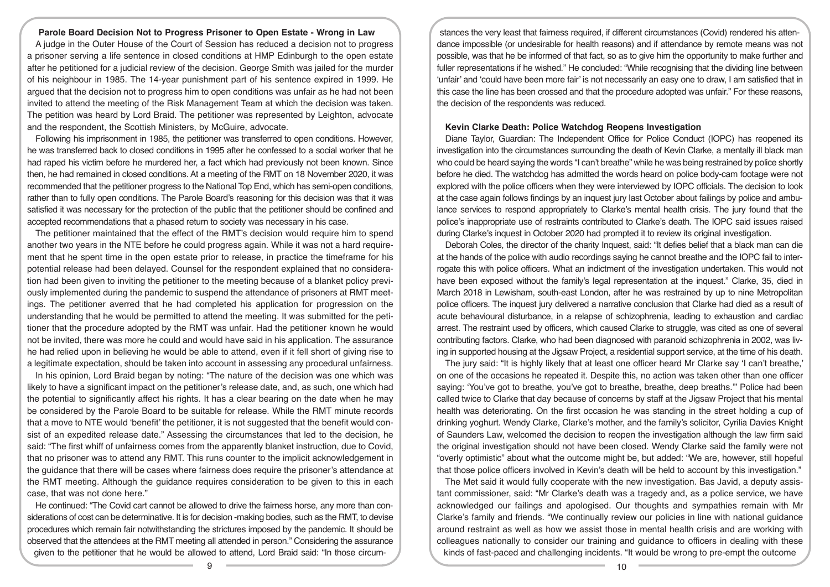#### **Parole Board Decision Not to Progress Prisoner to Open Estate - Wrong in Law**

A judge in the Outer House of the Court of Session has reduced a decision not to progress a prisoner serving a life sentence in closed conditions at HMP Edinburgh to the open estate after he petitioned for a judicial review of the decision. George Smith was jailed for the murder of his neighbour in 1985. The 14-year punishment part of his sentence expired in 1999. He argued that the decision not to progress him to open conditions was unfair as he had not been invited to attend the meeting of the Risk Management Team at which the decision was taken. The petition was heard by Lord Braid. The petitioner was represented by Leighton, advocate and the respondent, the Scottish Ministers, by McGuire, advocate.

Following his imprisonment in 1985, the petitioner was transferred to open conditions. However, he was transferred back to closed conditions in 1995 after he confessed to a social worker that he had raped his victim before he murdered her, a fact which had previously not been known. Since then, he had remained in closed conditions. At a meeting of the RMT on 18 November 2020, it was recommended that the petitioner progress to the National Top End, which has semi-open conditions, rather than to fully open conditions. The Parole Board's reasoning for this decision was that it was satisfied it was necessary for the protection of the public that the petitioner should be confined and accepted recommendations that a phased return to society was necessary in his case.

The petitioner maintained that the effect of the RMT's decision would require him to spend another two years in the NTE before he could progress again. While it was not a hard requirement that he spent time in the open estate prior to release, in practice the timeframe for his potential release had been delayed. Counsel for the respondent explained that no consideration had been given to inviting the petitioner to the meeting because of a blanket policy previously implemented during the pandemic to suspend the attendance of prisoners at RMT meetings. The petitioner averred that he had completed his application for progression on the understanding that he would be permitted to attend the meeting. It was submitted for the petitioner that the procedure adopted by the RMT was unfair. Had the petitioner known he would not be invited, there was more he could and would have said in his application. The assurance he had relied upon in believing he would be able to attend, even if it fell short of giving rise to a legitimate expectation, should be taken into account in assessing any procedural unfairness.

In his opinion, Lord Braid began by noting: "The nature of the decision was one which was likely to have a significant impact on the petitioner's release date, and, as such, one which had the potential to significantly affect his rights. It has a clear bearing on the date when he may be considered by the Parole Board to be suitable for release. While the RMT minute records that a move to NTE would 'benefit' the petitioner, it is not suggested that the benefit would consist of an expedited release date." Assessing the circumstances that led to the decision, he said: "The first whiff of unfairness comes from the apparently blanket instruction, due to Covid, that no prisoner was to attend any RMT. This runs counter to the implicit acknowledgement in the guidance that there will be cases where fairness does require the prisoner's attendance at the RMT meeting. Although the guidance requires consideration to be given to this in each case, that was not done here."

He continued: "The Covid cart cannot be allowed to drive the fairness horse, any more than considerations of cost can be determinative. It is for decision -making bodies, such as the RMT, to devise procedures which remain fair notwithstanding the strictures imposed by the pandemic. It should be observed that the attendees at the RMT meeting all attended in person." Considering the assurance given to the petitioner that he would be allowed to attend, Lord Braid said: "In those circum-

stances the very least that fairness required, if different circumstances (Covid) rendered his attendance impossible (or undesirable for health reasons) and if attendance by remote means was not possible, was that he be informed of that fact, so as to give him the opportunity to make further and fuller representations if he wished." He concluded: "While recognising that the dividing line between 'unfair' and 'could have been more fair' is not necessarily an easy one to draw, I am satisfied that in this case the line has been crossed and that the procedure adopted was unfair." For these reasons, the decision of the respondents was reduced.

#### **Kevin Clarke Death: Police Watchdog Reopens Investigation**

Diane Taylor, Guardian: The Independent Office for Police Conduct (IOPC) has reopened its investigation into the circumstances surrounding the death of Kevin Clarke, a mentally ill black man who could be heard saying the words "I can't breathe" while he was being restrained by police shortly before he died. The watchdog has admitted the words heard on police body-cam footage were not explored with the police officers when they were interviewed by IOPC officials. The decision to look at the case again follows findings by an inquest jury last October about failings by police and ambulance services to respond appropriately to Clarke's mental health crisis. The jury found that the police's inappropriate use of restraints contributed to Clarke's death. The IOPC said issues raised during Clarke's inquest in October 2020 had prompted it to review its original investigation.

Deborah Coles, the director of the charity Inquest, said: "It defies belief that a black man can die at the hands of the police with audio recordings saying he cannot breathe and the IOPC fail to interrogate this with police officers. What an indictment of the investigation undertaken. This would not have been exposed without the family's legal representation at the inquest." Clarke, 35, died in March 2018 in Lewisham, south-east London, after he was restrained by up to nine Metropolitan police officers. The inquest jury delivered a narrative conclusion that Clarke had died as a result of acute behavioural disturbance, in a relapse of schizophrenia, leading to exhaustion and cardiac arrest. The restraint used by officers, which caused Clarke to struggle, was cited as one of several contributing factors. Clarke, who had been diagnosed with paranoid schizophrenia in 2002, was living in supported housing at the Jigsaw Project, a residential support service, at the time of his death.

The jury said: "It is highly likely that at least one officer heard Mr Clarke say 'I can't breathe,' on one of the occasions he repeated it. Despite this, no action was taken other than one officer saying: 'You've got to breathe, you've got to breathe, breathe, deep breaths." Police had been called twice to Clarke that day because of concerns by staff at the Jigsaw Project that his mental health was deteriorating. On the first occasion he was standing in the street holding a cup of drinking yoghurt. Wendy Clarke, Clarke's mother, and the family's solicitor, Cyrilia Davies Knight of Saunders Law, welcomed the decision to reopen the investigation although the law firm said the original investigation should not have been closed. Wendy Clarke said the family were not "overly optimistic" about what the outcome might be, but added: "We are, however, still hopeful that those police officers involved in Kevin's death will be held to account by this investigation."

The Met said it would fully cooperate with the new investigation. Bas Javid, a deputy assistant commissioner, said: "Mr Clarke's death was a tragedy and, as a police service, we have acknowledged our failings and apologised. Our thoughts and sympathies remain with Mr Clarke's family and friends. "We continually review our policies in line with national guidance around restraint as well as how we assist those in mental health crisis and are working with colleagues nationally to consider our training and guidance to officers in dealing with these kinds of fast-paced and challenging incidents. "It would be wrong to pre-empt the outcome